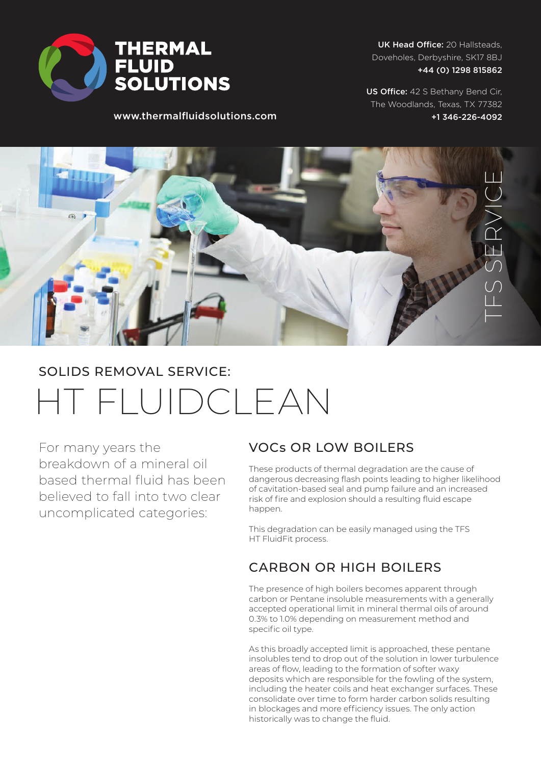

UK Head Office: 20 Hallsteads, Doveholes, Derbyshire, SK17 8BJ +44 (0) 1298 815862

www.thermalfluidsolutions.com

US Office: 42 S Bethany Bend Cir, The Woodlands, Texas, TX 77382 +1 346-226-4092



# HT FLUIDCLEAN SOLIDS REMOVAL SERVICE:

For many years the breakdown of a mineral oil based thermal fluid has been believed to fall into two clear uncomplicated categories:

### VOCs OR LOW BOILERS

These products of thermal degradation are the cause of dangerous decreasing flash points leading to higher likelihood of cavitation-based seal and pump failure and an increased risk of fire and explosion should a resulting fluid escape happen.

This degradation can be easily managed using the TFS HT FluidFit process.

### CARBON OR HIGH BOILERS

The presence of high boilers becomes apparent through carbon or Pentane insoluble measurements with a generally accepted operational limit in mineral thermal oils of around 0.3% to 1.0% depending on measurement method and specific oil type.

As this broadly accepted limit is approached, these pentane insolubles tend to drop out of the solution in lower turbulence areas of flow, leading to the formation of softer waxy deposits which are responsible for the fowling of the system, including the heater coils and heat exchanger surfaces. These consolidate over time to form harder carbon solids resulting in blockages and more efficiency issues. The only action historically was to change the fluid.